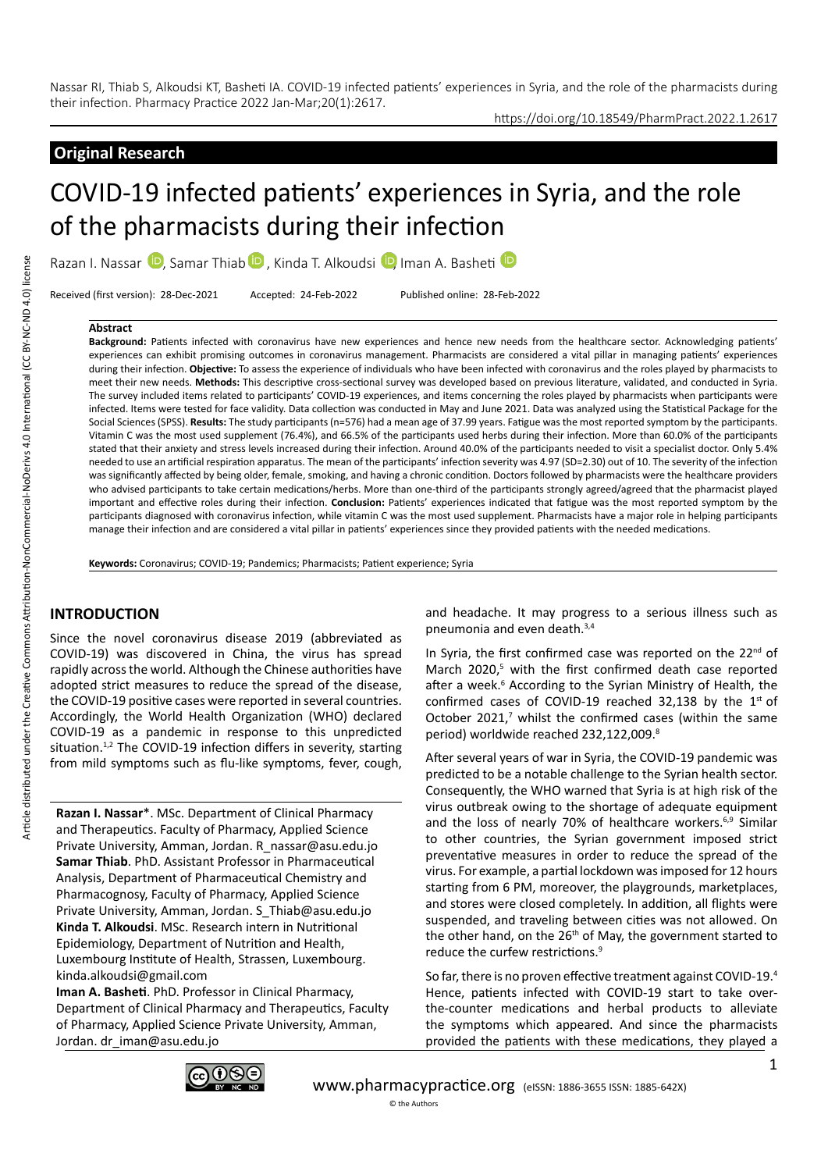# **Original Research**

# COVID-19 infected patients' experiences in Syria, and the role of the pharmacists during their infection

RazanI. Nassar **D**, Samar Thiab **D**, Kinda T. Alkoudsi **D**, Iman A. Basheti **D** 

Received (first version): 28-Dec-2021 Accepted: 24-Feb-2022 Published online: 28-Feb-2022

#### **Abstract**

**Background:** Patients infected with coronavirus have new experiences and hence new needs from the healthcare sector. Acknowledging patients' experiences can exhibit promising outcomes in coronavirus management. Pharmacists are considered a vital pillar in managing patients' experiences during their infection. **Objective:** To assess the experience of individuals who have been infected with coronavirus and the roles played by pharmacists to meet their new needs. **Methods:** This descriptive cross-sectional survey was developed based on previous literature, validated, and conducted in Syria. The survey included items related to participants' COVID-19 experiences, and items concerning the roles played by pharmacists when participants were infected. Items were tested for face validity. Data collection was conducted in May and June 2021. Data was analyzed using the Statistical Package for the Social Sciences (SPSS). **Results:** The study participants (n=576) had a mean age of 37.99 years. Fatigue was the most reported symptom by the participants. Vitamin C was the most used supplement (76.4%), and 66.5% of the participants used herbs during their infection. More than 60.0% of the participants stated that their anxiety and stress levels increased during their infection. Around 40.0% of the participants needed to visit a specialist doctor. Only 5.4% needed to use an artificial respiration apparatus. The mean of the participants' infection severity was 4.97 (SD=2.30) out of 10. The severity of the infection was significantly affected by being older, female, smoking, and having a chronic condition. Doctors followed by pharmacists were the healthcare providers who advised participants to take certain medications/herbs. More than one-third of the participants strongly agreed/agreed that the pharmacist played important and effective roles during their infection. **Conclusion:** Patients' experiences indicated that fatigue was the most reported symptom by the participants diagnosed with coronavirus infection, while vitamin C was the most used supplement. Pharmacists have a major role in helping participants manage their infection and are considered a vital pillar in patients' experiences since they provided patients with the needed medications.

**Keywords:** Coronavirus; COVID-19; Pandemics; Pharmacists; Patient experience; Syria

# **INTRODUCTION**

Since the novel coronavirus disease 2019 (abbreviated as COVID-19) was discovered in China, the virus has spread rapidly across the world. Although the Chinese authorities have adopted strict measures to reduce the spread of the disease, the COVID-19 positive cases were reported in several countries. Accordingly, the World Health Organization (WHO) declared COVID-19 as a pandemic in response to this unpredicted situation.<sup>1,2</sup> The COVID-19 infection differs in severity, starting from mild symptoms such as flu-like symptoms, fever, cough,

**Razan I. Nassar**\*. MSc. Department of Clinical Pharmacy and Therapeutics. Faculty of Pharmacy, Applied Science Private University, Amman, Jordan. R\_nassar@asu.edu.jo **Samar Thiab**. PhD. Assistant Professor in Pharmaceutical Analysis, Department of Pharmaceutical Chemistry and Pharmacognosy, Faculty of Pharmacy, Applied Science Private University, Amman, Jordan. S\_Thiab@asu.edu.jo **Kinda T. Alkoudsi**. MSc. Research intern in Nutritional Epidemiology, Department of Nutrition and Health, Luxembourg Institute of Health, Strassen, Luxembourg. kinda.alkoudsi@gmail.com

**Iman A. Basheti**. PhD. Professor in Clinical Pharmacy, Department of Clinical Pharmacy and Therapeutics, Faculty of Pharmacy, Applied Science Private University, Amman, Jordan. dr\_iman@asu.edu.jo

and headache. It may progress to a serious illness such as pneumonia and even death.3,4

In Syria, the first confirmed case was reported on the 22<sup>nd</sup> of March 2020,<sup>5</sup> with the first confirmed death case reported after a week.<sup>6</sup> According to the Syrian Ministry of Health, the confirmed cases of COVID-19 reached 32,138 by the  $1<sup>st</sup>$  of October 2021, $^7$  whilst the confirmed cases (within the same period) worldwide reached 232,122,009.<sup>8</sup>

After several years of war in Syria, the COVID-19 pandemic was predicted to be a notable challenge to the Syrian health sector. Consequently, the WHO warned that Syria is at high risk of the virus outbreak owing to the shortage of adequate equipment and the loss of nearly 70% of healthcare workers.<sup>6,9</sup> Similar to other countries, the Syrian government imposed strict preventative measures in order to reduce the spread of the virus. For example, a partial lockdown was imposed for 12 hours starting from 6 PM, moreover, the playgrounds, marketplaces, and stores were closed completely. In addition, all flights were suspended, and traveling between cities was not allowed. On the other hand, on the 26<sup>th</sup> of May, the government started to reduce the curfew restrictions.<sup>9</sup>

So far, there is no proven effective treatment against COVID-19.4 Hence, patients infected with COVID-19 start to take overthe-counter medications and herbal products to alleviate the symptoms which appeared. And since the pharmacists provided the patients with these medications, they played a

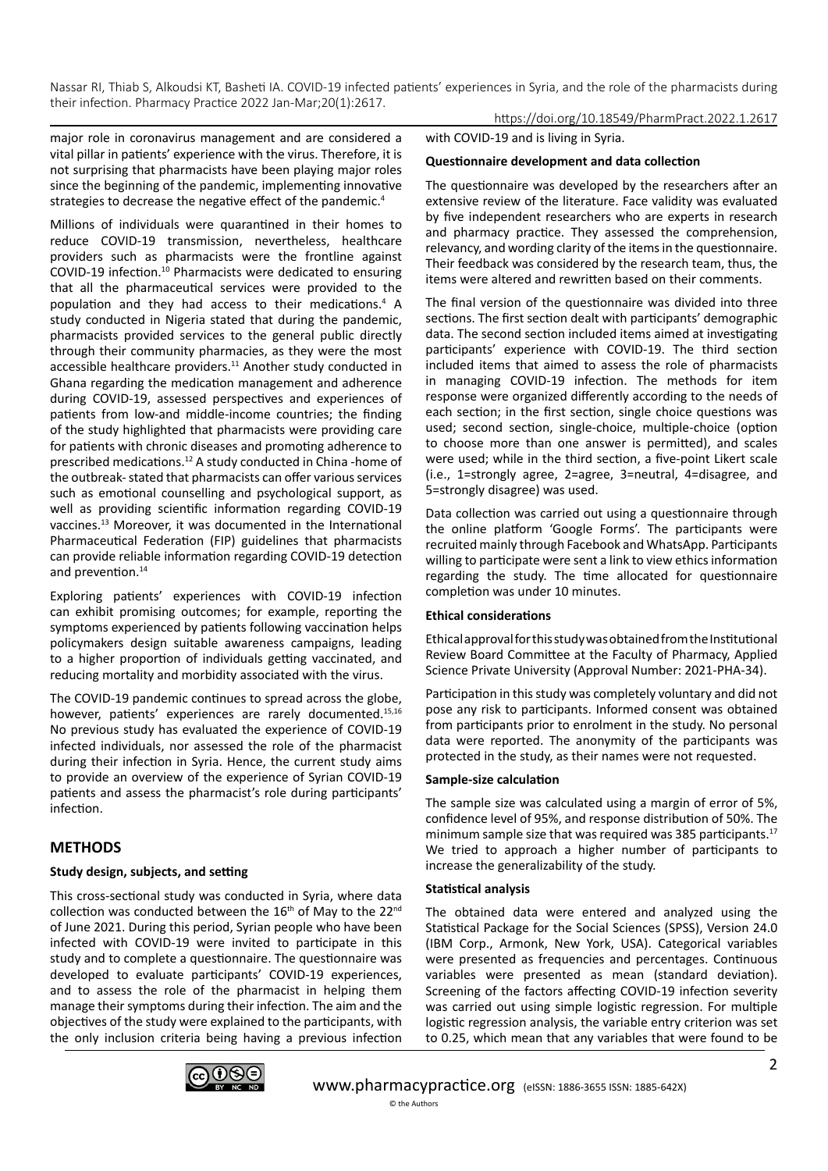major role in coronavirus management and are considered a vital pillar in patients' experience with the virus. Therefore, it is not surprising that pharmacists have been playing major roles since the beginning of the pandemic, implementing innovative strategies to decrease the negative effect of the pandemic.<sup>4</sup>

Millions of individuals were quarantined in their homes to reduce COVID-19 transmission, nevertheless, healthcare providers such as pharmacists were the frontline against COVID-19 infection.10 Pharmacists were dedicated to ensuring that all the pharmaceutical services were provided to the population and they had access to their medications.<sup>4</sup> A study conducted in Nigeria stated that during the pandemic, pharmacists provided services to the general public directly through their community pharmacies, as they were the most accessible healthcare providers.<sup>11</sup> Another study conducted in Ghana regarding the medication management and adherence during COVID-19, assessed perspectives and experiences of patients from low-and middle-income countries; the finding of the study highlighted that pharmacists were providing care for patients with chronic diseases and promoting adherence to prescribed medications.12 A study conducted in China -home of the outbreak- stated that pharmacists can offer various services such as emotional counselling and psychological support, as well as providing scientific information regarding COVID-19 vaccines.13 Moreover, it was documented in the International Pharmaceutical Federation (FIP) guidelines that pharmacists can provide reliable information regarding COVID-19 detection and prevention.<sup>14</sup>

Exploring patients' experiences with COVID-19 infection can exhibit promising outcomes; for example, reporting the symptoms experienced by patients following vaccination helps policymakers design suitable awareness campaigns, leading to a higher proportion of individuals getting vaccinated, and reducing mortality and morbidity associated with the virus.

The COVID-19 pandemic continues to spread across the globe, however, patients' experiences are rarely documented.<sup>15,16</sup> No previous study has evaluated the experience of COVID-19 infected individuals, nor assessed the role of the pharmacist during their infection in Syria. Hence, the current study aims to provide an overview of the experience of Syrian COVID-19 patients and assess the pharmacist's role during participants' infection.

# **METHODS**

## **Study design, subjects, and setting**

This cross-sectional study was conducted in Syria, where data collection was conducted between the  $16<sup>th</sup>$  of May to the 22<sup>nd</sup> of June 2021. During this period, Syrian people who have been infected with COVID-19 were invited to participate in this study and to complete a questionnaire. The questionnaire was developed to evaluate participants' COVID-19 experiences, and to assess the role of the pharmacist in helping them manage their symptoms during their infection. The aim and the objectives of the study were explained to the participants, with the only inclusion criteria being having a previous infection

https://doi.org/10.18549/PharmPract.2022.1.2617 with COVID-19 and is living in Syria.

## **Questionnaire development and data collection**

The questionnaire was developed by the researchers after an extensive review of the literature. Face validity was evaluated by five independent researchers who are experts in research and pharmacy practice. They assessed the comprehension, relevancy, and wording clarity of the items in the questionnaire. Their feedback was considered by the research team, thus, the items were altered and rewritten based on their comments.

The final version of the questionnaire was divided into three sections. The first section dealt with participants' demographic data. The second section included items aimed at investigating participants' experience with COVID-19. The third section included items that aimed to assess the role of pharmacists in managing COVID-19 infection. The methods for item response were organized differently according to the needs of each section; in the first section, single choice questions was used; second section, single-choice, multiple-choice (option to choose more than one answer is permitted), and scales were used; while in the third section, a five-point Likert scale (i.e., 1=strongly agree, 2=agree, 3=neutral, 4=disagree, and 5=strongly disagree) was used.

Data collection was carried out using a questionnaire through the online platform 'Google Forms'. The participants were recruited mainly through Facebook and WhatsApp. Participants willing to participate were sent a link to view ethics information regarding the study. The time allocated for questionnaire completion was under 10 minutes.

## **Ethical considerations**

Ethical approval for this study was obtained from the Institutional Review Board Committee at the Faculty of Pharmacy, Applied Science Private University (Approval Number: 2021-PHA-34).

Participation in this study was completely voluntary and did not pose any risk to participants. Informed consent was obtained from participants prior to enrolment in the study. No personal data were reported. The anonymity of the participants was protected in the study, as their names were not requested.

## **Sample-size calculation**

The sample size was calculated using a margin of error of 5%, confidence level of 95%, and response distribution of 50%. The minimum sample size that was required was 385 participants.<sup>17</sup> We tried to approach a higher number of participants to increase the generalizability of the study.

#### **Statistical analysis**

The obtained data were entered and analyzed using the Statistical Package for the Social Sciences (SPSS), Version 24.0 (IBM Corp., Armonk, New York, USA). Categorical variables were presented as frequencies and percentages. Continuous variables were presented as mean (standard deviation). Screening of the factors affecting COVID-19 infection severity was carried out using simple logistic regression. For multiple logistic regression analysis, the variable entry criterion was set to 0.25, which mean that any variables that were found to be

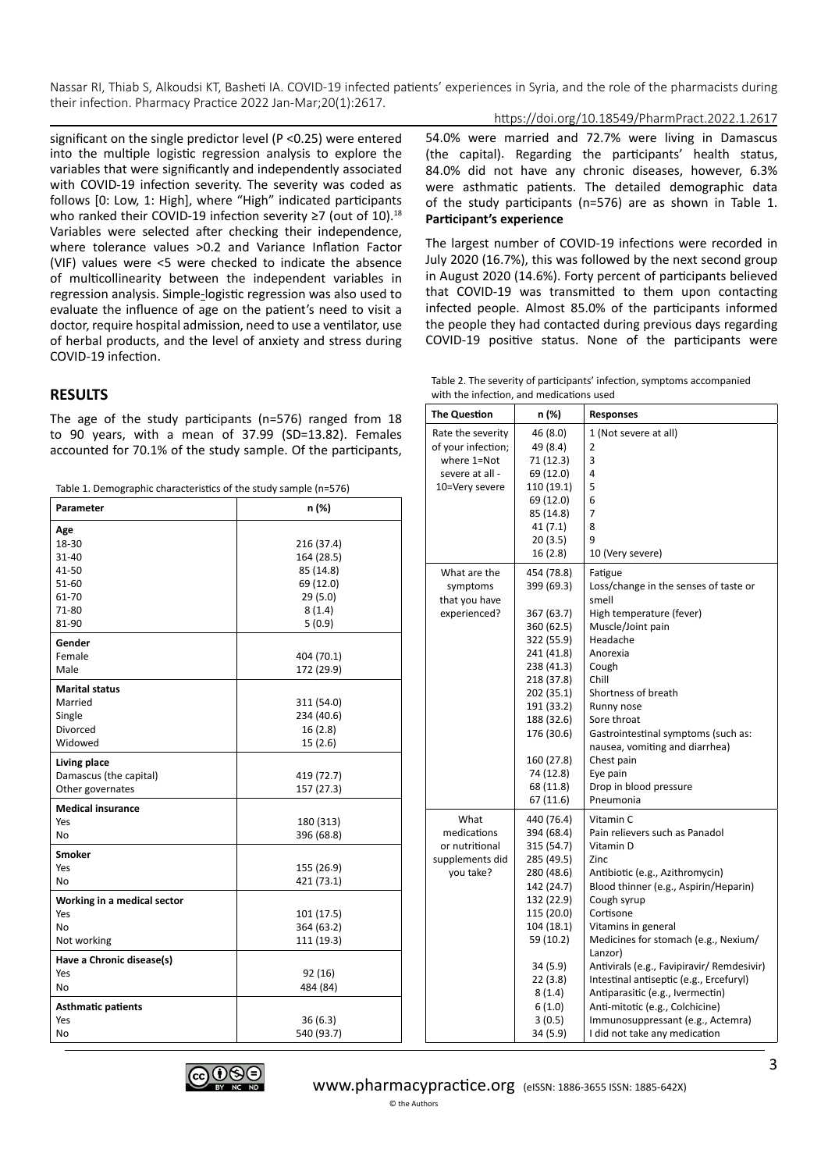https://doi.org/10.18549/PharmPract.2022.1.2617

significant on the single predictor level (P <0.25) were entered into the multiple logistic regression analysis to explore the variables that were significantly and independently associated with COVID-19 infection severity. The severity was coded as follows [0: Low, 1: High], where "High" indicated participants who ranked their COVID-19 infection severity ≥7 (out of 10).<sup>18</sup> Variables were selected after checking their independence, where tolerance values >0.2 and Variance Inflation Factor (VIF) values were <5 were checked to indicate the absence of multicollinearity between the independent variables in regression analysis. Simple-logistic regression was also used to evaluate the influence of age on the patient's need to visit a doctor, require hospital admission, need to use a ventilator, use of herbal products, and the level of anxiety and stress during COVID-19 infection.

## **RESULTS**

The age of the study participants (n=576) ranged from 18 to 90 years, with a mean of 37.99 (SD=13.82). Females accounted for 70.1% of the study sample. Of the participants,

Table 1. Demographic characteristics of the study sample (n=576)

| <b>Parameter</b>            | n (%)      |  |  |
|-----------------------------|------------|--|--|
| Age                         |            |  |  |
| 18-30                       | 216 (37.4) |  |  |
| 31-40                       | 164 (28.5) |  |  |
| 41-50                       | 85 (14.8)  |  |  |
| 51-60                       | 69 (12.0)  |  |  |
| 61-70                       | 29(5.0)    |  |  |
| 71-80                       | 8(1.4)     |  |  |
| 81-90                       | 5(0.9)     |  |  |
| Gender                      |            |  |  |
| Female                      | 404 (70.1) |  |  |
| Male                        | 172 (29.9) |  |  |
| <b>Marital status</b>       |            |  |  |
| Married                     | 311 (54.0) |  |  |
| Single                      | 234 (40.6) |  |  |
| Divorced                    | 16(2.8)    |  |  |
| Widowed                     | 15(2.6)    |  |  |
| Living place                |            |  |  |
| Damascus (the capital)      | 419 (72.7) |  |  |
| Other governates            | 157 (27.3) |  |  |
| <b>Medical insurance</b>    |            |  |  |
| Yes                         | 180 (313)  |  |  |
| No                          | 396 (68.8) |  |  |
| <b>Smoker</b>               |            |  |  |
| Yes                         | 155 (26.9) |  |  |
| No                          | 421 (73.1) |  |  |
| Working in a medical sector |            |  |  |
| Yes                         | 101 (17.5) |  |  |
| No                          | 364 (63.2) |  |  |
| Not working                 | 111 (19.3) |  |  |
| Have a Chronic disease(s)   |            |  |  |
| Yes                         | 92 (16)    |  |  |
| No                          | 484 (84)   |  |  |
| <b>Asthmatic patients</b>   |            |  |  |
| Yes                         | 36(6.3)    |  |  |
| No                          | 540 (93.7) |  |  |

54.0% were married and 72.7% were living in Damascus (the capital). Regarding the participants' health status, 84.0% did not have any chronic diseases, however, 6.3% were asthmatic patients. The detailed demographic data of the study participants (n=576) are as shown in Table 1. **Participant's experience**

The largest number of COVID-19 infections were recorded in July 2020 (16.7%), this was followed by the next second group in August 2020 (14.6%). Forty percent of participants believed that COVID-19 was transmitted to them upon contacting infected people. Almost 85.0% of the participants informed the people they had contacted during previous days regarding COVID-19 positive status. None of the participants were

Table 2. The severity of participants' infection, symptoms accompanied with the infection, and medications used

| <b>The Question</b> | n (%)      | <b>Responses</b>                                |
|---------------------|------------|-------------------------------------------------|
| Rate the severity   | 46 (8.0)   | 1 (Not severe at all)                           |
| of your infection;  | 49 (8.4)   | 2                                               |
| where 1=Not         | 71 (12.3)  | 3                                               |
| severe at all -     | 69 (12.0)  | 4                                               |
| 10=Very severe      | 110 (19.1) | 5                                               |
|                     | 69 (12.0)  | 6                                               |
|                     | 85 (14.8)  | 7                                               |
|                     | 41 (7.1)   | 8                                               |
|                     | 20(3.5)    | 9                                               |
|                     | 16 (2.8)   | 10 (Very severe)                                |
| What are the        | 454 (78.8) | Fatigue                                         |
| symptoms            | 399 (69.3) | Loss/change in the senses of taste or           |
| that you have       |            | smell                                           |
| experienced?        | 367 (63.7) | High temperature (fever)                        |
|                     | 360 (62.5) | Muscle/Joint pain                               |
|                     | 322 (55.9) | Headache                                        |
|                     | 241 (41.8) | Anorexia                                        |
|                     | 238 (41.3) | Cough                                           |
|                     | 218 (37.8) | Chill                                           |
|                     | 202 (35.1) | Shortness of breath                             |
|                     | 191 (33.2) | Runny nose                                      |
|                     | 188 (32.6) | Sore throat                                     |
|                     | 176 (30.6) | Gastrointestinal symptoms (such as:             |
|                     |            | nausea, vomiting and diarrhea)                  |
|                     | 160 (27.8) | Chest pain                                      |
|                     | 74 (12.8)  | Eye pain                                        |
|                     | 68 (11.8)  | Drop in blood pressure                          |
|                     | 67 (11.6)  | Pneumonia                                       |
| What                | 440 (76.4) | Vitamin C                                       |
| medications         | 394 (68.4) | Pain relievers such as Panadol                  |
| or nutritional      | 315 (54.7) | Vitamin D                                       |
| supplements did     | 285 (49.5) | Zinc                                            |
| you take?           | 280 (48.6) | Antibiotic (e.g., Azithromycin)                 |
|                     | 142 (24.7) | Blood thinner (e.g., Aspirin/Heparin)           |
|                     | 132 (22.9) | Cough syrup                                     |
|                     | 115 (20.0) | Cortisone                                       |
|                     | 104 (18.1) | Vitamins in general                             |
|                     | 59 (10.2)  | Medicines for stomach (e.g., Nexium/<br>Lanzor) |
|                     | 34 (5.9)   | Antivirals (e.g., Favipiravir/ Remdesivir)      |
|                     | 22 (3.8)   | Intestinal antiseptic (e.g., Ercefuryl)         |
|                     | 8(1.4)     | Antiparasitic (e.g., Ivermectin)                |
|                     | 6(1.0)     | Anti-mitotic (e.g., Colchicine)                 |
|                     | 3(0.5)     | Immunosuppressant (e.g., Actemra)               |
|                     | 34 (5.9)   | I did not take any medication                   |
|                     |            |                                                 |

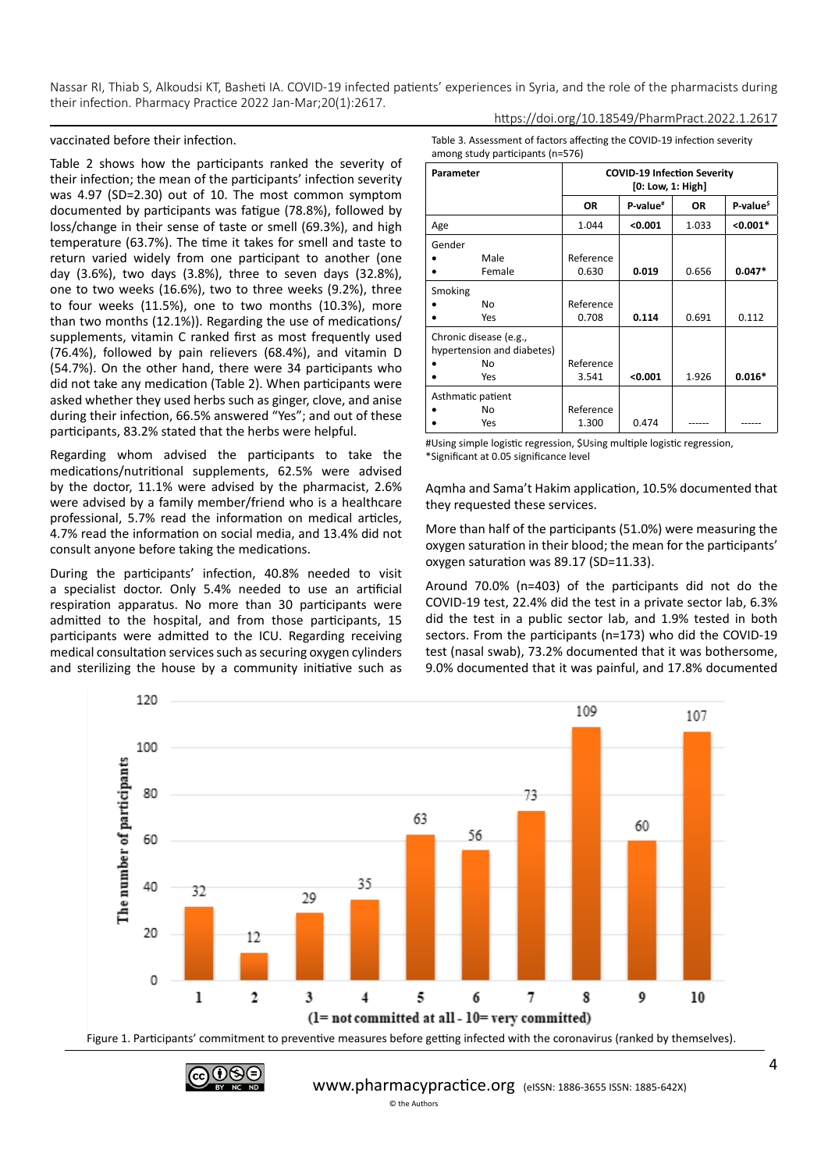Nassar RI, Thiab S, Alkoudsi KT, Basheti IA. COVID-19 infected patients' experiences in Syria, and the role of the pharmacists during their infection. Pharmacy Practice 2022 Jan-Mar;20(1):2617. https://doi.org/10.18549/PharmPract.2022.1.2617

#### vaccinated before their infection.

Table 2 shows how the participants ranked the severity of their infection; the mean of the participants' infection severity was 4.97 (SD=2.30) out of 10. The most common symptom documented by participants was fatigue (78.8%), followed by loss/change in their sense of taste or smell (69.3%), and high temperature (63.7%). The time it takes for smell and taste to return varied widely from one participant to another (one day (3.6%), two days (3.8%), three to seven days (32.8%), one to two weeks (16.6%), two to three weeks (9.2%), three to four weeks (11.5%), one to two months (10.3%), more than two months (12.1%)). Regarding the use of medications/ supplements, vitamin C ranked first as most frequently used (76.4%), followed by pain relievers (68.4%), and vitamin D (54.7%). On the other hand, there were 34 participants who did not take any medication (Table 2). When participants were asked whether they used herbs such as ginger, clove, and anise during their infection, 66.5% answered "Yes"; and out of these participants, 83.2% stated that the herbs were helpful.

Regarding whom advised the participants to take the medications/nutritional supplements, 62.5% were advised by the doctor, 11.1% were advised by the pharmacist, 2.6% were advised by a family member/friend who is a healthcare professional, 5.7% read the information on medical articles, 4.7% read the information on social media, and 13.4% did not consult anyone before taking the medications.

During the participants' infection, 40.8% needed to visit a specialist doctor. Only 5.4% needed to use an artificial respiration apparatus. No more than 30 participants were admitted to the hospital, and from those participants, 15 participants were admitted to the ICU. Regarding receiving medical consultation services such as securing oxygen cylinders and sterilizing the house by a community initiative such as Table 3. Assessment of factors affecting the COVID-19 infection severity among study participants (n=576)

| Parameter                                            |           | <b>COVID-19 Infection Severity</b><br>[0: Low, 1: High] |           |                       |
|------------------------------------------------------|-----------|---------------------------------------------------------|-----------|-----------------------|
|                                                      | <b>OR</b> | P-value <sup>#</sup>                                    | <b>OR</b> | P-value <sup>\$</sup> |
| Age                                                  | 1.044     | < 0.001                                                 | 1.033     | $< 0.001*$            |
| Gender                                               |           |                                                         |           |                       |
| Male                                                 | Reference |                                                         |           |                       |
| Female                                               | 0.630     | 0.019                                                   | 0.656     | $0.047*$              |
| Smoking                                              |           |                                                         |           |                       |
| No                                                   | Reference |                                                         |           |                       |
| Yes                                                  | 0.708     | 0.114                                                   | 0.691     | 0.112                 |
| Chronic disease (e.g.,<br>hypertension and diabetes) |           |                                                         |           |                       |
| No                                                   | Reference |                                                         |           |                       |
| Yes                                                  | 3.541     | < 0.001                                                 | 1.926     | $0.016*$              |
| Asthmatic patient                                    |           |                                                         |           |                       |
| No                                                   | Reference |                                                         |           |                       |
| Yes                                                  | 1.300     | 0.474                                                   |           |                       |

#Using simple logistic regression, \$Using multiple logistic regression, \*Significant at 0.05 significance level

Aqmha and Sama't Hakim application, 10.5% documented that they requested these services.

More than half of the participants (51.0%) were measuring the oxygen saturation in their blood; the mean for the participants' oxygen saturation was 89.17 (SD=11.33).

Around 70.0% (n=403) of the participants did not do the COVID-19 test, 22.4% did the test in a private sector lab, 6.3% did the test in a public sector lab, and 1.9% tested in both sectors. From the participants (n=173) who did the COVID-19 test (nasal swab), 73.2% documented that it was bothersome, 9.0% documented that it was painful, and 17.8% documented



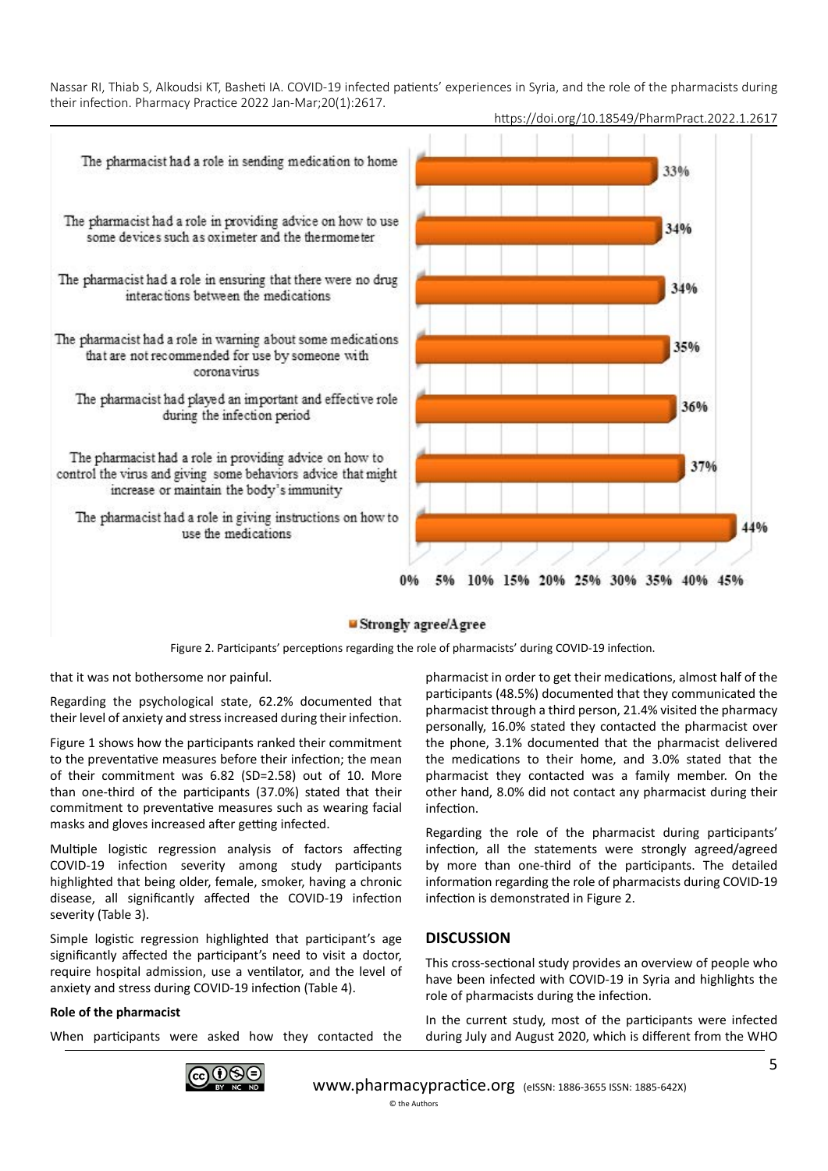

## https://doi.org/10.18549/PharmPract.2022.1.2617

10% 15% 20% 25% 30% 35% 40% 45% 5%  $006$ 

#### Strongly agree/Agree

Figure 2. Participants' perceptions regarding the role of pharmacists' during COVID-19 infection.

that it was not bothersome nor painful.

Regarding the psychological state, 62.2% documented that their level of anxiety and stress increased during their infection.

Figure 1 shows how the participants ranked their commitment to the preventative measures before their infection; the mean of their commitment was 6.82 (SD=2.58) out of 10. More than one-third of the participants (37.0%) stated that their commitment to preventative measures such as wearing facial masks and gloves increased after getting infected.

Multiple logistic regression analysis of factors affecting COVID-19 infection severity among study participants highlighted that being older, female, smoker, having a chronic disease, all significantly affected the COVID-19 infection severity (Table 3).

Simple logistic regression highlighted that participant's age significantly affected the participant's need to visit a doctor, require hospital admission, use a ventilator, and the level of anxiety and stress during COVID-19 infection (Table 4).

## **Role of the pharmacist**

When participants were asked how they contacted the



pharmacist in order to get their medications, almost half of the participants (48.5%) documented that they communicated the pharmacist through a third person, 21.4% visited the pharmacy personally, 16.0% stated they contacted the pharmacist over the phone, 3.1% documented that the pharmacist delivered the medications to their home, and 3.0% stated that the pharmacist they contacted was a family member. On the other hand, 8.0% did not contact any pharmacist during their infection.

Regarding the role of the pharmacist during participants' infection, all the statements were strongly agreed/agreed by more than one-third of the participants. The detailed information regarding the role of pharmacists during COVID-19 infection is demonstrated in Figure 2.

## **DISCUSSION**

This cross-sectional study provides an overview of people who have been infected with COVID-19 in Syria and highlights the role of pharmacists during the infection.

In the current study, most of the participants were infected during July and August 2020, which is different from the WHO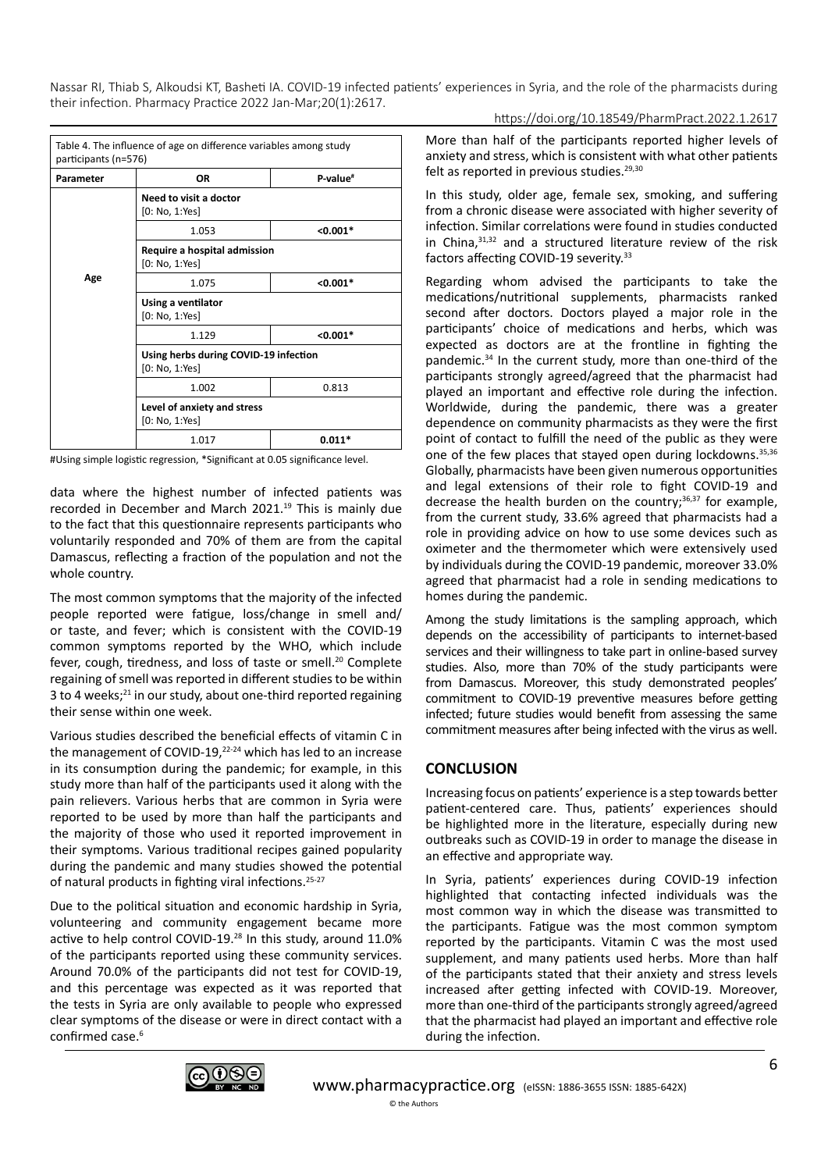| Table 4. The influence of age on difference variables among study<br>participants (n=576) |                                                         |                      |  |  |
|-------------------------------------------------------------------------------------------|---------------------------------------------------------|----------------------|--|--|
| Parameter                                                                                 | OR                                                      | P-value <sup>#</sup> |  |  |
|                                                                                           | Need to visit a doctor<br>[0: No, 1:Yes]                |                      |  |  |
|                                                                                           | 1.053                                                   | $< 0.001*$           |  |  |
|                                                                                           | Require a hospital admission<br>[0: No, 1:Yes]          |                      |  |  |
| Age                                                                                       | 1.075                                                   | $< 0.001*$           |  |  |
|                                                                                           | Using a ventilator<br>[0: No, 1:Yes]                    |                      |  |  |
|                                                                                           | 1.129                                                   | $< 0.001*$           |  |  |
|                                                                                           | Using herbs during COVID-19 infection<br>[0: No, 1:Yes] |                      |  |  |
|                                                                                           | 1.002                                                   | 0.813                |  |  |
|                                                                                           | Level of anxiety and stress<br>[0: No, 1:Yes]           |                      |  |  |
|                                                                                           | 1.017                                                   | $0.011*$             |  |  |

#Using simple logistic regression, \*Significant at 0.05 significance level.

data where the highest number of infected patients was recorded in December and March 2021.<sup>19</sup> This is mainly due to the fact that this questionnaire represents participants who voluntarily responded and 70% of them are from the capital Damascus, reflecting a fraction of the population and not the whole country.

The most common symptoms that the majority of the infected people reported were fatigue, loss/change in smell and/ or taste, and fever; which is consistent with the COVID-19 common symptoms reported by the WHO, which include fever, cough, tiredness, and loss of taste or smell.<sup>20</sup> Complete regaining of smell was reported in different studies to be within 3 to 4 weeks;<sup>21</sup> in our study, about one-third reported regaining their sense within one week.

Various studies described the beneficial effects of vitamin C in the management of COVID-19, $22-24$  which has led to an increase in its consumption during the pandemic; for example, in this study more than half of the participants used it along with the pain relievers. Various herbs that are common in Syria were reported to be used by more than half the participants and the majority of those who used it reported improvement in their symptoms. Various traditional recipes gained popularity during the pandemic and many studies showed the potential of natural products in fighting viral infections.<sup>25-27</sup>

Due to the political situation and economic hardship in Syria, volunteering and community engagement became more active to help control COVID-19.28 In this study, around 11.0% of the participants reported using these community services. Around 70.0% of the participants did not test for COVID-19, and this percentage was expected as it was reported that the tests in Syria are only available to people who expressed clear symptoms of the disease or were in direct contact with a confirmed case.<sup>6</sup>

More than half of the participants reported higher levels of anxiety and stress, which is consistent with what other patients felt as reported in previous studies.<sup>29,30</sup>

In this study, older age, female sex, smoking, and suffering from a chronic disease were associated with higher severity of infection. Similar correlations were found in studies conducted in China,31,32 and a structured literature review of the risk factors affecting COVID-19 severity.<sup>33</sup>

Regarding whom advised the participants to take the medications/nutritional supplements, pharmacists ranked second after doctors. Doctors played a major role in the participants' choice of medications and herbs, which was expected as doctors are at the frontline in fighting the pandemic.34 In the current study, more than one-third of the participants strongly agreed/agreed that the pharmacist had played an important and effective role during the infection. Worldwide, during the pandemic, there was a greater dependence on community pharmacists as they were the first point of contact to fulfill the need of the public as they were one of the few places that stayed open during lockdowns.<sup>35,36</sup> Globally, pharmacists have been given numerous opportunities and legal extensions of their role to fight COVID-19 and decrease the health burden on the country; $36,37$  for example, from the current study, 33.6% agreed that pharmacists had a role in providing advice on how to use some devices such as oximeter and the thermometer which were extensively used by individuals during the COVID-19 pandemic, moreover 33.0% agreed that pharmacist had a role in sending medications to homes during the pandemic.

Among the study limitations is the sampling approach, which depends on the accessibility of participants to internet-based services and their willingness to take part in online-based survey studies. Also, more than 70% of the study participants were from Damascus. Moreover, this study demonstrated peoples' commitment to COVID-19 preventive measures before getting infected; future studies would benefit from assessing the same commitment measures after being infected with the virus as well.

# **CONCLUSION**

Increasing focus on patients' experience is a step towards better patient-centered care. Thus, patients' experiences should be highlighted more in the literature, especially during new outbreaks such as COVID-19 in order to manage the disease in an effective and appropriate way.

In Syria, patients' experiences during COVID-19 infection highlighted that contacting infected individuals was the most common way in which the disease was transmitted to the participants. Fatigue was the most common symptom reported by the participants. Vitamin C was the most used supplement, and many patients used herbs. More than half of the participants stated that their anxiety and stress levels increased after getting infected with COVID-19. Moreover, more than one-third of the participants strongly agreed/agreed that the pharmacist had played an important and effective role during the infection.

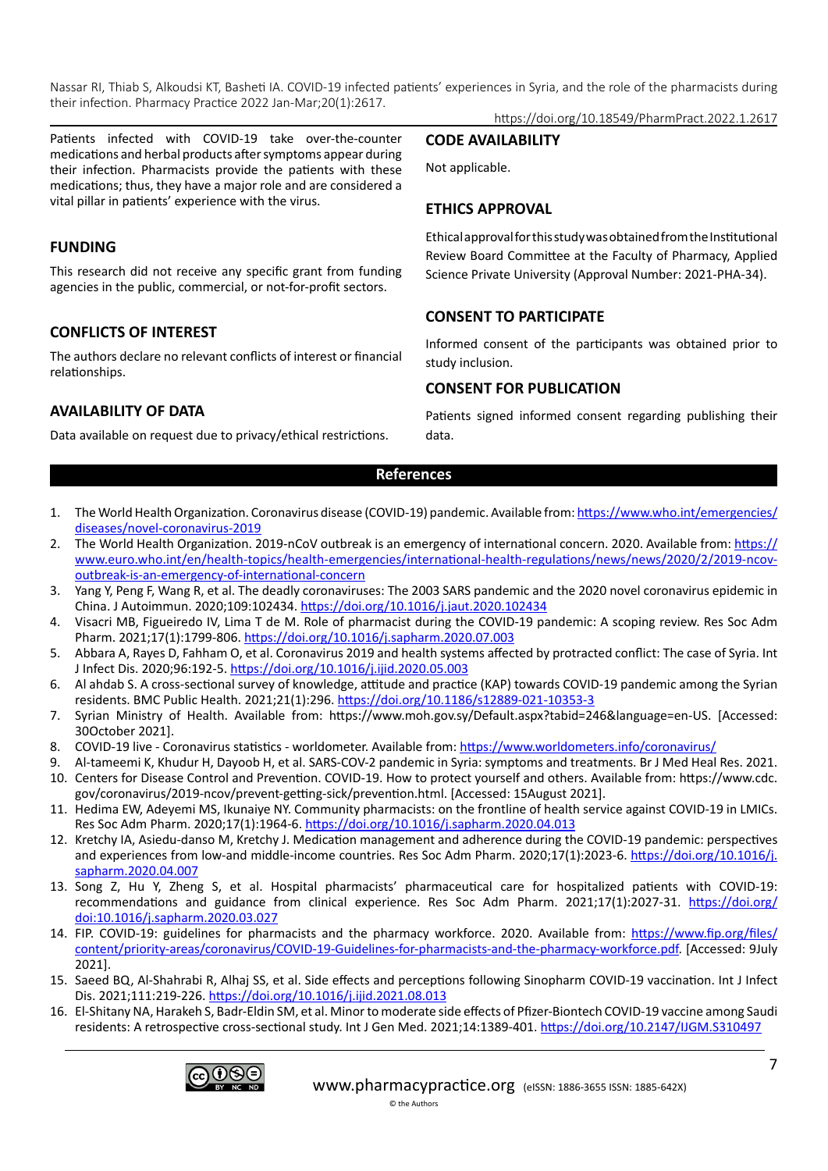Patients infected with COVID-19 take over-the-counter medications and herbal products after symptoms appear during their infection. Pharmacists provide the patients with these medications; thus, they have a major role and are considered a vital pillar in patients' experience with the virus.

# **FUNDING**

This research did not receive any specific grant from funding agencies in the public, commercial, or not-for-profit sectors.

# **CONFLICTS OF INTEREST**

The authors declare no relevant conflicts of interest or financial relationships.

# **AVAILABILITY OF DATA**

Data available on request due to privacy/ethical restrictions.

https://doi.org/10.18549/PharmPract.2022.1.2617

### **CODE AVAILABILITY**

Not applicable.

# **ETHICS APPROVAL**

Ethical approval for this study was obtained from the Institutional Review Board Committee at the Faculty of Pharmacy, Applied Science Private University (Approval Number: 2021-PHA-34).

# **CONSENT TO PARTICIPATE**

Informed consent of the participants was obtained prior to study inclusion.

# **CONSENT FOR PUBLICATION**

Patients signed informed consent regarding publishing their data.

## **References**

- 1. The World Health Organization. Coronavirus disease (COVID-19) pandemic. Available from: [https://www.who.int/emergencies/](https://www.who.int/emergencies/diseases/novel-coronavirus-2019) [diseases/novel-coronavirus-2019](https://www.who.int/emergencies/diseases/novel-coronavirus-2019)
- 2. The World Health Organization. 2019-nCoV outbreak is an emergency of international concern. 2020. Available from: [https://](https://www.euro.who.int/en/health-topics/health-emergencies/international-health-regulations/news/news/2020/2/2019-ncov-outbreak-is-an-emergency-of-international-concern) [www.euro.who.int/en/health-topics/health-emergencies/international-health-regulations/news/news/2020/2/2019-ncov](https://www.euro.who.int/en/health-topics/health-emergencies/international-health-regulations/news/news/2020/2/2019-ncov-outbreak-is-an-emergency-of-international-concern)[outbreak-is-an-emergency-of-international-concern](https://www.euro.who.int/en/health-topics/health-emergencies/international-health-regulations/news/news/2020/2/2019-ncov-outbreak-is-an-emergency-of-international-concern)
- 3. Yang Y, Peng F, Wang R, et al. The deadly coronaviruses: The 2003 SARS pandemic and the 2020 novel coronavirus epidemic in China. J Autoimmun. 2020;109:102434.<https://doi.org/10.1016/j.jaut.2020.102434>
- 4. Visacri MB, Figueiredo IV, Lima T de M. Role of pharmacist during the COVID-19 pandemic: A scoping review. Res Soc Adm Pharm. 2021;17(1):1799-806. <https://doi.org/10.1016/j.sapharm.2020.07.003>
- 5. Abbara A, Rayes D, Fahham O, et al. Coronavirus 2019 and health systems affected by protracted conflict: The case of Syria. Int J Infect Dis. 2020;96:192-5. <https://doi.org/10.1016/j.ijid.2020.05.003>
- 6. Al ahdab S. A cross-sectional survey of knowledge, attitude and practice (KAP) towards COVID-19 pandemic among the Syrian residents. BMC Public Health. 2021;21(1):296. <https://doi.org/10.1186/s12889-021-10353-3>
- 7. Syrian Ministry of Health. Available from: https://www.moh.gov.sy/Default.aspx?tabid=246&language=en-US. [Accessed: 30October 2021].
- 8. COVID-19 live Coronavirus statistics worldometer. Available from: <https://www.worldometers.info/coronavirus/>
- 9. Al-tameemi K, Khudur H, Dayoob H, et al. SARS-COV-2 pandemic in Syria: symptoms and treatments. Br J Med Heal Res. 2021. 10. Centers for Disease Control and Prevention. COVID-19. How to protect yourself and others. Available from: https://www.cdc.
- gov/coronavirus/2019-ncov/prevent-getting-sick/prevention.html. [Accessed: 15August 2021]. 11. Hedima EW, Adeyemi MS, Ikunaiye NY. Community pharmacists: on the frontline of health service against COVID-19 in LMICs.
- Res Soc Adm Pharm. 2020;17(1):1964-6. <https://doi.org/10.1016/j.sapharm.2020.04.013>
- 12. Kretchy IA, Asiedu-danso M, Kretchy J. Medication management and adherence during the COVID-19 pandemic: perspectives and experiences from low-and middle-income countries. Res Soc Adm Pharm. 2020;17(1):2023-6. [https://doi.org/10.1016/j.](https://doi.org/10.1016/j.sapharm.2020.04.007) [sapharm.2020.04.007](https://doi.org/10.1016/j.sapharm.2020.04.007)
- 13. Song Z, Hu Y, Zheng S, et al. Hospital pharmacists' pharmaceutical care for hospitalized patients with COVID-19: recommendations and guidance from clinical experience. Res Soc Adm Pharm. 2021;17(1):2027-31. [https://doi.org/](https://doi.org/doi:10.1016/j.sapharm.2020.03.027) [doi:10.1016/j.sapharm.2020.03.027](https://doi.org/doi:10.1016/j.sapharm.2020.03.027)
- 14. FIP. COVID-19: guidelines for pharmacists and the pharmacy workforce. 2020. Available from: [https://www.fip.org/files/](https://www.fip.org/files/content/priority-areas/coronavirus/COVID-19-Guidelines-for-pharmacists-and-the-pharmacy-workforce.pdf) [content/priority-areas/coronavirus/COVID-19-Guidelines-for-pharmacists-and-the-pharmacy-workforce.pdf](https://www.fip.org/files/content/priority-areas/coronavirus/COVID-19-Guidelines-for-pharmacists-and-the-pharmacy-workforce.pdf). [Accessed: 9July 2021].
- 15. Saeed BQ, Al-Shahrabi R, Alhaj SS, et al. Side effects and perceptions following Sinopharm COVID-19 vaccination. Int J Infect Dis. 2021;111:219-226.<https://doi.org/10.1016/j.ijid.2021.08.013>
- 16. El-Shitany NA, Harakeh S, Badr-Eldin SM, et al. Minor to moderate side effects of Pfizer-Biontech COVID-19 vaccine among Saudi residents: A retrospective cross-sectional study. Int J Gen Med. 2021;14:1389-401. <https://doi.org/10.2147/IJGM.S310497>